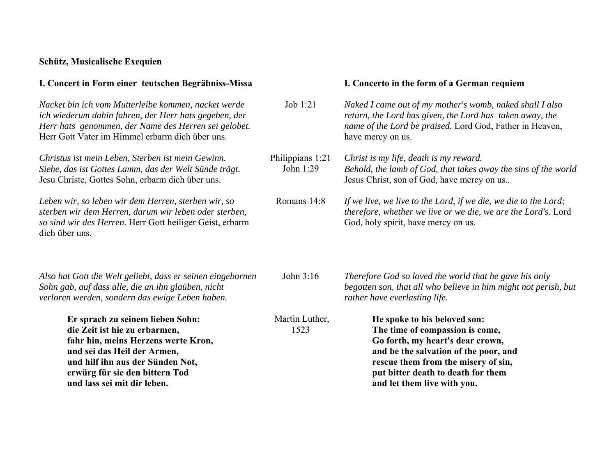## **Schütz, Musicalische Exequien**

| I. Concert in Form einer teutschen Begräbniss-Missa                                                                                                                                                                                          |                               | I. Concerto in the form of a German requiem                                                                                                                                                                                                              |
|----------------------------------------------------------------------------------------------------------------------------------------------------------------------------------------------------------------------------------------------|-------------------------------|----------------------------------------------------------------------------------------------------------------------------------------------------------------------------------------------------------------------------------------------------------|
| Nacket bin ich vom Mutterleibe kommen, nacket werde<br>ich wiederum dahin fahren, der Herr hats gegeben, der<br>Herr hats genommen, der Name des Herren sei gelobet.<br>Herr Gott Vater im Himmel erbarm dich über uns.                      | Job 1:21                      | Naked I came out of my mother's womb, naked shall I also<br>return, the Lord has given, the Lord has taken away, the<br>name of the Lord be praised. Lord God, Father in Heaven,<br>have mercy on us.                                                    |
| Christus ist mein Leben, Sterben ist mein Gewinn.<br>Siehe, das ist Gottes Lamm, das der Welt Sünde trägt.<br>Jesu Christe, Gottes Sohn, erbarm dich über uns.                                                                               | Philippians 1:21<br>John 1:29 | Christ is my life, death is my reward.<br>Behold, the lamb of God, that takes away the sins of the world<br>Jesus Christ, son of God, have mercy on us                                                                                                   |
| Leben wir, so leben wir dem Herren, sterben wir, so<br>sterben wir dem Herren, darum wir leben oder sterben,<br>so sind wir des Herren. Herr Gott heiliger Geist, erbarm<br>dich über uns.                                                   | Romans 14:8                   | If we live, we live to the Lord, if we die, we die to the Lord;<br>therefore, whether we live or we die, we are the Lord's. Lord<br>God, holy spirit, have mercy on us.                                                                                  |
| Also hat Gott die Welt geliebt, dass er seinen eingebornen<br>Sohn gab, auf dass alle, die an ihn glaüben, nicht<br>verloren werden, sondern das ewige Leben haben.                                                                          | John 3:16                     | Therefore God so loved the world that he gave his only<br>begotten son, that all who believe in him might not perish, but<br>rather have everlasting life.                                                                                               |
| Er sprach zu seinem lieben Sohn:<br>die Zeit ist hie zu erbarmen,<br>fahr hin, meins Herzens werte Kron,<br>und sei das Heil der Armen,<br>und hilf ihn aus der Sünden Not,<br>erwürg für sie den bittern Tod<br>und lass sei mit dir leben. | Martin Luther,<br>1523        | He spoke to his beloved son:<br>The time of compassion is come,<br>Go forth, my heart's dear crown,<br>and be the salvation of the poor, and<br>rescue them from the misery of sin,<br>put bitter death to death for them<br>and let them live with you. |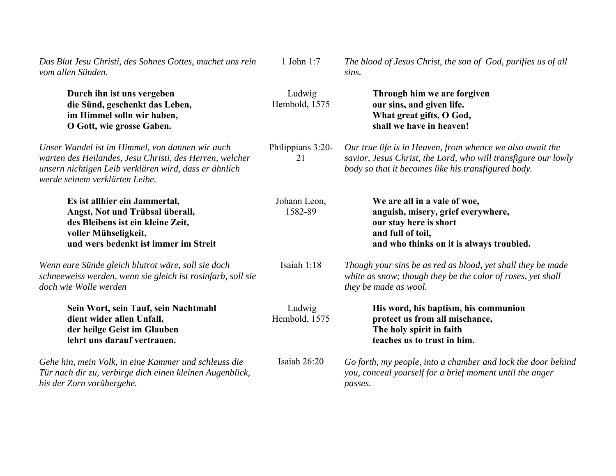| Das Blut Jesu Christi, des Sohnes Gottes, machet uns rein<br>vom allen Sünden.                                                                                                                        | 1 John 1:7              | The blood of Jesus Christ, the son of God, purifies us of all<br>sins.                                                                                                             |
|-------------------------------------------------------------------------------------------------------------------------------------------------------------------------------------------------------|-------------------------|------------------------------------------------------------------------------------------------------------------------------------------------------------------------------------|
| Durch ihn ist uns vergeben<br>die Sünd, geschenkt das Leben,<br>im Himmel solln wir haben,<br>O Gott, wie grosse Gaben.                                                                               | Ludwig<br>Hembold, 1575 | Through him we are forgiven<br>our sins, and given life.<br>What great gifts, O God,<br>shall we have in heaven!                                                                   |
| Unser Wandel ist im Himmel, von dannen wir auch<br>warten des Heilandes, Jesu Christi, des Herren, welcher<br>unsern nichtigen Leib verklären wird, dass er ähnlich<br>werde seinem verklärten Leibe. | Philippians 3:20-<br>21 | Our true life is in Heaven, from whence we also await the<br>savior, Jesus Christ, the Lord, who will transfigure our lowly<br>body so that it becomes like his transfigured body. |
| Es ist allhier ein Jammertal,<br>Angst, Not und Trübsal überall,<br>des Bleibens ist ein kleine Zeit,<br>voller Mühseligkeit,<br>und wers bedenkt ist immer im Streit                                 | Johann Leon,<br>1582-89 | We are all in a vale of woe,<br>anguish, misery, grief everywhere,<br>our stay here is short<br>and full of toil,<br>and who thinks on it is always troubled.                      |
| Wenn eure Sünde gleich blutrot wäre, soll sie doch<br>schneeweiss werden, wenn sie gleich ist rosinfarb, soll sie<br>doch wie Wolle werden                                                            | Isaiah 1:18             | Though your sins be as red as blood, yet shall they be made<br>white as snow; though they be the color of roses, yet shall<br>they be made as wool.                                |
| Sein Wort, sein Tauf, sein Nachtmahl<br>dient wider allen Unfall,<br>der heilge Geist im Glauben<br>lehrt uns darauf vertrauen.                                                                       | Ludwig<br>Hembold, 1575 | His word, his baptism, his communion<br>protect us from all mischance,<br>The holy spirit in faith<br>teaches us to trust in him.                                                  |
| Gehe hin, mein Volk, in eine Kammer und schleuss die<br>Tür nach dir zu, verbirge dich einen kleinen Augenblick,<br>bis der Zorn vorübergehe.                                                         | Isaiah 26:20            | Go forth, my people, into a chamber and lock the door behind<br>you, conceal yourself for a brief moment until the anger<br>passes.                                                |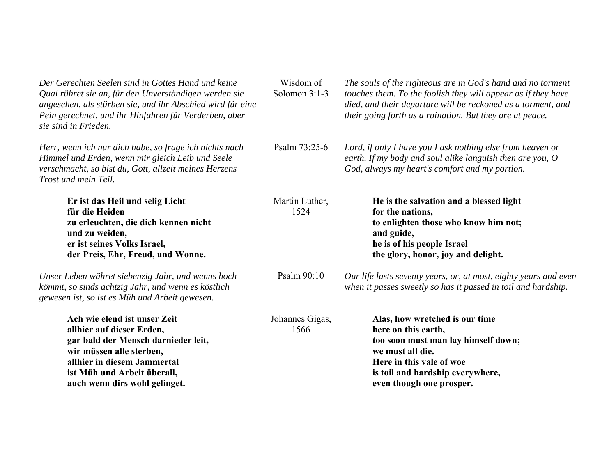| Der Gerechten Seelen sind in Gottes Hand und keine<br>Qual rühret sie an, für den Unverständigen werden sie<br>angesehen, als stürben sie, und ihr Abschied wird für eine<br>Pein gerechnet, und ihr Hinfahren für Verderben, aber<br>sie sind in Frieden. | Wisdom of<br>Solomon 3:1-3 | The souls of the righteous are in God's hand and no torment<br>touches them. To the foolish they will appear as if they have<br>died, and their departure will be reckoned as a torment, and<br>their going forth as a ruination. But they are at peace. |
|------------------------------------------------------------------------------------------------------------------------------------------------------------------------------------------------------------------------------------------------------------|----------------------------|----------------------------------------------------------------------------------------------------------------------------------------------------------------------------------------------------------------------------------------------------------|
| Herr, wenn ich nur dich habe, so frage ich nichts nach<br>Himmel und Erden, wenn mir gleich Leib und Seele<br>verschmacht, so bist du, Gott, allzeit meines Herzens<br>Trost und mein Teil.                                                                | Psalm 73:25-6              | Lord, if only I have you I ask nothing else from heaven or<br>earth. If my body and soul alike languish then are you, $O$<br>God, always my heart's comfort and my portion.                                                                              |
| Er ist das Heil und selig Licht<br>für die Heiden<br>zu erleuchten, die dich kennen nicht<br>und zu weiden,<br>er ist seines Volks Israel,<br>der Preis, Ehr, Freud, und Wonne.                                                                            | Martin Luther,<br>1524     | He is the salvation and a blessed light<br>for the nations,<br>to enlighten those who know him not;<br>and guide,<br>he is of his people Israel<br>the glory, honor, joy and delight.                                                                    |
| Unser Leben währet siebenzig Jahr, und wenns hoch<br>kömmt, so sinds achtzig Jahr, und wenn es köstlich<br>gewesen ist, so ist es Müh und Arbeit gewesen.                                                                                                  | Psalm 90:10                | Our life lasts seventy years, or, at most, eighty years and even<br>when it passes sweetly so has it passed in toil and hardship.                                                                                                                        |
| Ach wie elend ist unser Zeit<br>allhier auf dieser Erden,<br>gar bald der Mensch darnieder leit,<br>wir müssen alle sterben,<br>allhier in diesem Jammertal<br>ist Müh und Arbeit überall,<br>auch wenn dirs wohl gelinget.                                | Johannes Gigas,<br>1566    | Alas, how wretched is our time<br>here on this earth,<br>too soon must man lay himself down;<br>we must all die.<br>Here in this vale of woe<br>is toil and hardship everywhere,<br>even though one prosper.                                             |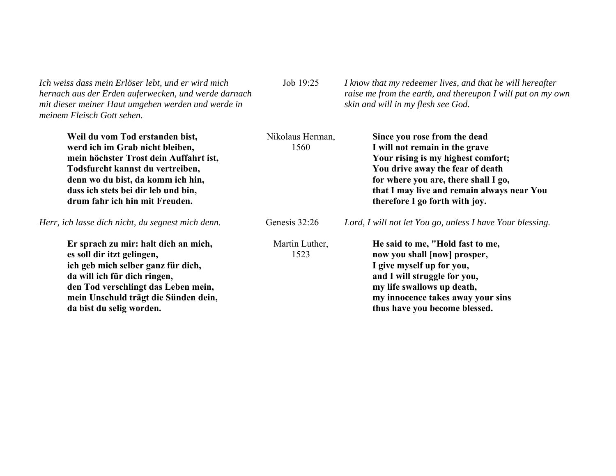*Ich weiss dass mein Erlöser lebt, und er wird mich hernach aus der Erden auferwecken, und werde darnach mit dieser meiner Haut umgeben werden und werde in meinem Fleisch Gott sehen.* 

Job 19:25 *I know that my redeemer lives, and that he will hereafter raise me from the earth, and thereupon I will put on my own skin and will in my flesh see God.* 

| Weil du vom Tod erstanden bist,<br>werd ich im Grab nicht bleiben,<br>mein höchster Trost dein Auffahrt ist,<br>Todsfurcht kannst du vertreiben,<br>denn wo du bist, da komm ich hin,<br>dass ich stets bei dir leb und bin,<br>drum fahr ich hin mit Freuden. | Nikolaus Herman,<br>1560 | Since you rose from the dead<br>I will not remain in the grave<br>Your rising is my highest comfort;<br>You drive away the fear of death<br>for where you are, there shall I go,<br>that I may live and remain always near You<br>therefore I go forth with joy. |
|----------------------------------------------------------------------------------------------------------------------------------------------------------------------------------------------------------------------------------------------------------------|--------------------------|------------------------------------------------------------------------------------------------------------------------------------------------------------------------------------------------------------------------------------------------------------------|
| Herr, ich lasse dich nicht, du segnest mich denn.                                                                                                                                                                                                              | Genesis 32:26            | Lord, I will not let You go, unless I have Your blessing.                                                                                                                                                                                                        |
| Er sprach zu mir: halt dich an mich,<br>es soll dir itzt gelingen,<br>ich geb mich selber ganz für dich,<br>da will ich für dich ringen,<br>den Tod verschlingt das Leben mein,<br>mein Unschuld trägt die Sünden dein,<br>da bist du selig worden.            | Martin Luther,<br>1523   | He said to me, "Hold fast to me,<br>now you shall [now] prosper,<br>I give myself up for you,<br>and I will struggle for you,<br>my life swallows up death,<br>my innocence takes away your sins<br>thus have you become blessed.                                |